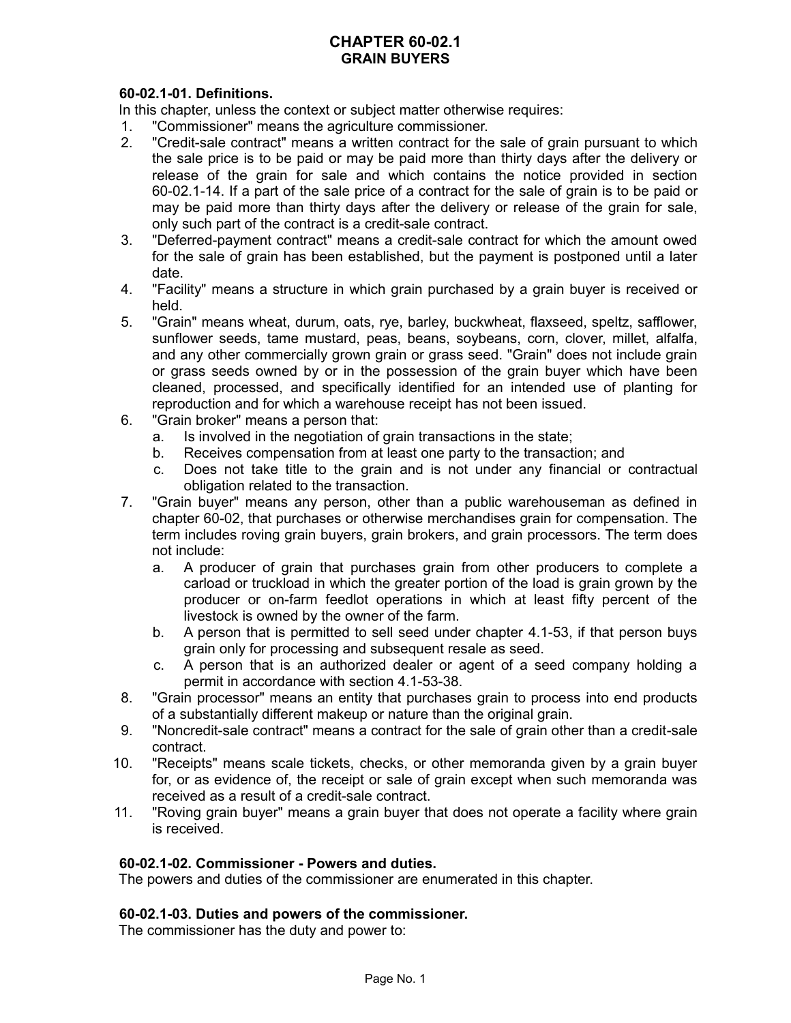# **CHAPTER 60-02.1 GRAIN BUYERS**

# **60-02.1-01. Definitions.**

In this chapter, unless the context or subject matter otherwise requires:

- 1. "Commissioner" means the agriculture commissioner.
- 2. "Credit-sale contract" means a written contract for the sale of grain pursuant to which the sale price is to be paid or may be paid more than thirty days after the delivery or release of the grain for sale and which contains the notice provided in section 60-02.1-14. If a part of the sale price of a contract for the sale of grain is to be paid or may be paid more than thirty days after the delivery or release of the grain for sale, only such part of the contract is a credit-sale contract.
- 3. "Deferred-payment contract" means a credit-sale contract for which the amount owed for the sale of grain has been established, but the payment is postponed until a later date.
- 4. "Facility" means a structure in which grain purchased by a grain buyer is received or held.
- 5. "Grain" means wheat, durum, oats, rye, barley, buckwheat, flaxseed, speltz, safflower, sunflower seeds, tame mustard, peas, beans, soybeans, corn, clover, millet, alfalfa, and any other commercially grown grain or grass seed. "Grain" does not include grain or grass seeds owned by or in the possession of the grain buyer which have been cleaned, processed, and specifically identified for an intended use of planting for reproduction and for which a warehouse receipt has not been issued.
- 6. "Grain broker" means a person that:
	- a. Is involved in the negotiation of grain transactions in the state;
	- b. Receives compensation from at least one party to the transaction; and
	- c. Does not take title to the grain and is not under any financial or contractual obligation related to the transaction.
- 7. "Grain buyer" means any person, other than a public warehouseman as defined in chapter 60-02, that purchases or otherwise merchandises grain for compensation. The term includes roving grain buyers, grain brokers, and grain processors. The term does not include:
	- a. A producer of grain that purchases grain from other producers to complete a carload or truckload in which the greater portion of the load is grain grown by the producer or on-farm feedlot operations in which at least fifty percent of the livestock is owned by the owner of the farm.
	- b. A person that is permitted to sell seed under chapter 4.1-53, if that person buys grain only for processing and subsequent resale as seed.
	- c. A person that is an authorized dealer or agent of a seed company holding a permit in accordance with section 4.1-53-38.
- 8. "Grain processor" means an entity that purchases grain to process into end products of a substantially different makeup or nature than the original grain.
- 9. "Noncredit-sale contract" means a contract for the sale of grain other than a credit-sale contract.
- 10. "Receipts" means scale tickets, checks, or other memoranda given by a grain buyer for, or as evidence of, the receipt or sale of grain except when such memoranda was received as a result of a credit-sale contract.
- 11. "Roving grain buyer" means a grain buyer that does not operate a facility where grain is received.

# **60-02.1-02. Commissioner - Powers and duties.**

The powers and duties of the commissioner are enumerated in this chapter.

# **60-02.1-03. Duties and powers of the commissioner.**

The commissioner has the duty and power to: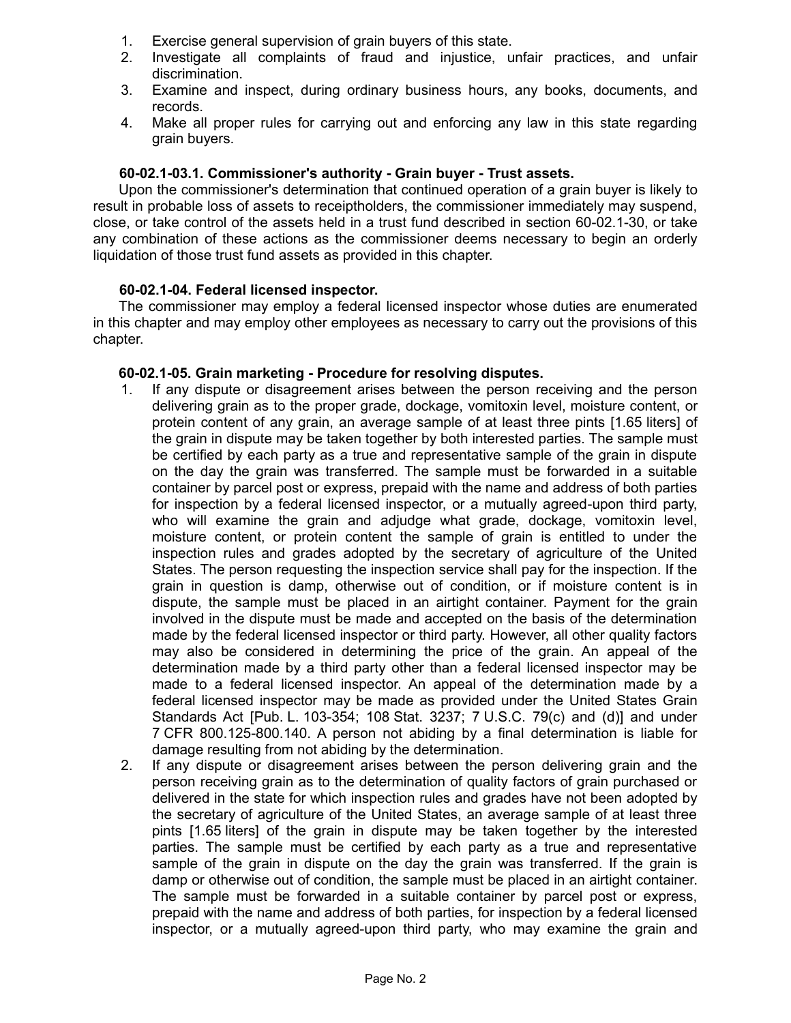- 1. Exercise general supervision of grain buyers of this state.
- 2. Investigate all complaints of fraud and injustice, unfair practices, and unfair discrimination.
- 3. Examine and inspect, during ordinary business hours, any books, documents, and records.
- 4. Make all proper rules for carrying out and enforcing any law in this state regarding grain buyers.

### **60-02.1-03.1. Commissioner's authority - Grain buyer - Trust assets.**

Upon the commissioner's determination that continued operation of a grain buyer is likely to result in probable loss of assets to receiptholders, the commissioner immediately may suspend, close, or take control of the assets held in a trust fund described in section 60-02.1-30, or take any combination of these actions as the commissioner deems necessary to begin an orderly liquidation of those trust fund assets as provided in this chapter.

### **60-02.1-04. Federal licensed inspector.**

The commissioner may employ a federal licensed inspector whose duties are enumerated in this chapter and may employ other employees as necessary to carry out the provisions of this chapter.

### **60-02.1-05. Grain marketing - Procedure for resolving disputes.**

- 1. If any dispute or disagreement arises between the person receiving and the person delivering grain as to the proper grade, dockage, vomitoxin level, moisture content, or protein content of any grain, an average sample of at least three pints [1.65 liters] of the grain in dispute may be taken together by both interested parties. The sample must be certified by each party as a true and representative sample of the grain in dispute on the day the grain was transferred. The sample must be forwarded in a suitable container by parcel post or express, prepaid with the name and address of both parties for inspection by a federal licensed inspector, or a mutually agreed-upon third party, who will examine the grain and adjudge what grade, dockage, vomitoxin level, moisture content, or protein content the sample of grain is entitled to under the inspection rules and grades adopted by the secretary of agriculture of the United States. The person requesting the inspection service shall pay for the inspection. If the grain in question is damp, otherwise out of condition, or if moisture content is in dispute, the sample must be placed in an airtight container. Payment for the grain involved in the dispute must be made and accepted on the basis of the determination made by the federal licensed inspector or third party. However, all other quality factors may also be considered in determining the price of the grain. An appeal of the determination made by a third party other than a federal licensed inspector may be made to a federal licensed inspector. An appeal of the determination made by a federal licensed inspector may be made as provided under the United States Grain Standards Act [Pub. L. 103-354; 108 Stat. 3237; 7 U.S.C. 79(c) and (d)] and under 7 CFR 800.125-800.140. A person not abiding by a final determination is liable for damage resulting from not abiding by the determination.
- 2. If any dispute or disagreement arises between the person delivering grain and the person receiving grain as to the determination of quality factors of grain purchased or delivered in the state for which inspection rules and grades have not been adopted by the secretary of agriculture of the United States, an average sample of at least three pints [1.65 liters] of the grain in dispute may be taken together by the interested parties. The sample must be certified by each party as a true and representative sample of the grain in dispute on the day the grain was transferred. If the grain is damp or otherwise out of condition, the sample must be placed in an airtight container. The sample must be forwarded in a suitable container by parcel post or express, prepaid with the name and address of both parties, for inspection by a federal licensed inspector, or a mutually agreed-upon third party, who may examine the grain and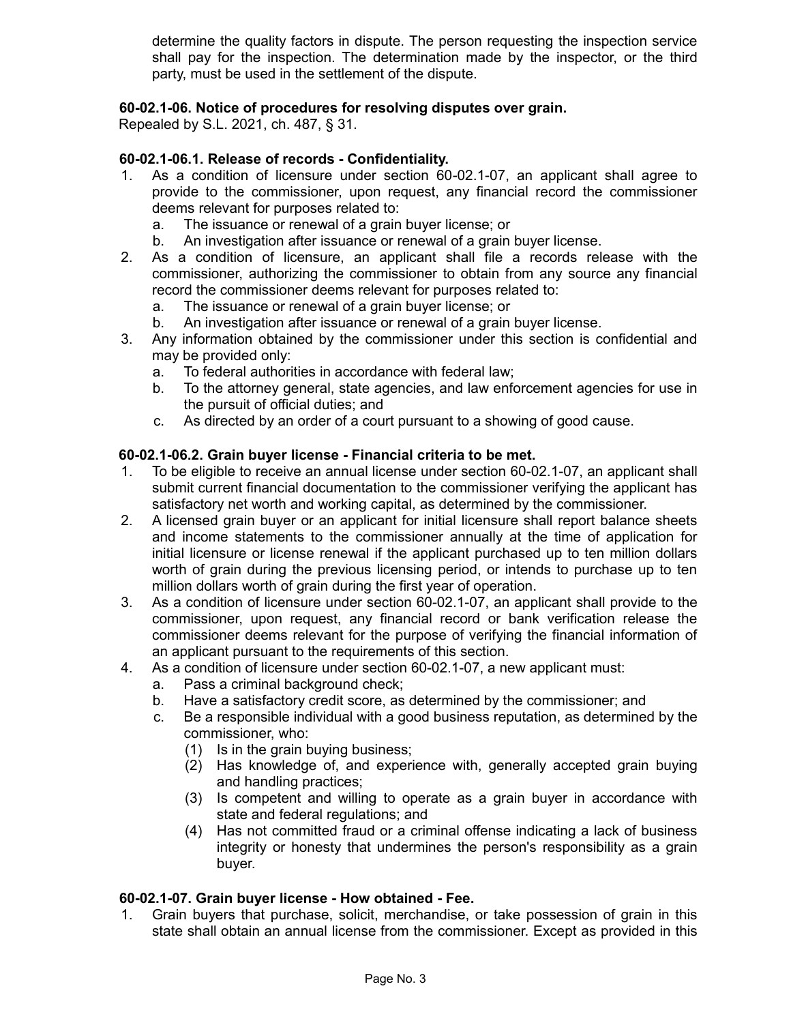determine the quality factors in dispute. The person requesting the inspection service shall pay for the inspection. The determination made by the inspector, or the third party, must be used in the settlement of the dispute.

# **60-02.1-06. Notice of procedures for resolving disputes over grain.**

Repealed by S.L. 2021, ch. 487, § 31.

# **60-02.1-06.1. Release of records - Confidentiality.**

- 1. As a condition of licensure under section 60-02.1-07, an applicant shall agree to provide to the commissioner, upon request, any financial record the commissioner deems relevant for purposes related to:
	- a. The issuance or renewal of a grain buyer license; or
	- b. An investigation after issuance or renewal of a grain buyer license.
- 2. As a condition of licensure, an applicant shall file a records release with the commissioner, authorizing the commissioner to obtain from any source any financial record the commissioner deems relevant for purposes related to:
	- a. The issuance or renewal of a grain buyer license; or
	- b. An investigation after issuance or renewal of a grain buyer license.
- 3. Any information obtained by the commissioner under this section is confidential and may be provided only:
	- a. To federal authorities in accordance with federal law;
	- b. To the attorney general, state agencies, and law enforcement agencies for use in the pursuit of official duties; and
	- c. As directed by an order of a court pursuant to a showing of good cause.

## **60-02.1-06.2. Grain buyer license - Financial criteria to be met.**

- 1. To be eligible to receive an annual license under section 60-02.1-07, an applicant shall submit current financial documentation to the commissioner verifying the applicant has satisfactory net worth and working capital, as determined by the commissioner.
- 2. A licensed grain buyer or an applicant for initial licensure shall report balance sheets and income statements to the commissioner annually at the time of application for initial licensure or license renewal if the applicant purchased up to ten million dollars worth of grain during the previous licensing period, or intends to purchase up to ten million dollars worth of grain during the first year of operation.
- 3. As a condition of licensure under section 60-02.1-07, an applicant shall provide to the commissioner, upon request, any financial record or bank verification release the commissioner deems relevant for the purpose of verifying the financial information of an applicant pursuant to the requirements of this section.
- 4. As a condition of licensure under section 60-02.1-07, a new applicant must:
	- a. Pass a criminal background check;
	- b. Have a satisfactory credit score, as determined by the commissioner; and
	- c. Be a responsible individual with a good business reputation, as determined by the commissioner, who:
		- (1) Is in the grain buying business;
		- (2) Has knowledge of, and experience with, generally accepted grain buying and handling practices;
		- (3) Is competent and willing to operate as a grain buyer in accordance with state and federal regulations; and
		- (4) Has not committed fraud or a criminal offense indicating a lack of business integrity or honesty that undermines the person's responsibility as a grain buyer.

# **60-02.1-07. Grain buyer license - How obtained - Fee.**

1. Grain buyers that purchase, solicit, merchandise, or take possession of grain in this state shall obtain an annual license from the commissioner. Except as provided in this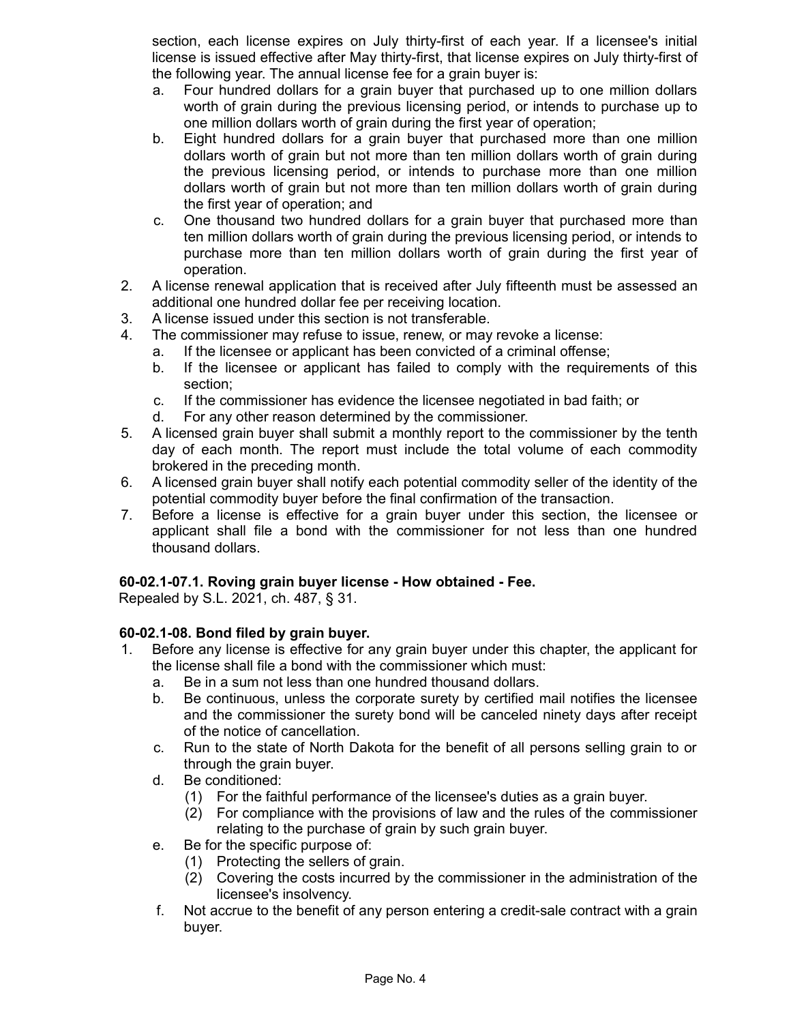section, each license expires on July thirty-first of each year. If a licensee's initial license is issued effective after May thirty-first, that license expires on July thirty-first of the following year. The annual license fee for a grain buyer is:

- a. Four hundred dollars for a grain buyer that purchased up to one million dollars worth of grain during the previous licensing period, or intends to purchase up to one million dollars worth of grain during the first year of operation;
- b. Eight hundred dollars for a grain buyer that purchased more than one million dollars worth of grain but not more than ten million dollars worth of grain during the previous licensing period, or intends to purchase more than one million dollars worth of grain but not more than ten million dollars worth of grain during the first year of operation; and
- c. One thousand two hundred dollars for a grain buyer that purchased more than ten million dollars worth of grain during the previous licensing period, or intends to purchase more than ten million dollars worth of grain during the first year of operation.
- 2. A license renewal application that is received after July fifteenth must be assessed an additional one hundred dollar fee per receiving location.
- 3. A license issued under this section is not transferable.
- 4. The commissioner may refuse to issue, renew, or may revoke a license:
	- a. If the licensee or applicant has been convicted of a criminal offense;
	- b. If the licensee or applicant has failed to comply with the requirements of this section;
	- c. If the commissioner has evidence the licensee negotiated in bad faith; or
	- d. For any other reason determined by the commissioner.
- 5. A licensed grain buyer shall submit a monthly report to the commissioner by the tenth day of each month. The report must include the total volume of each commodity brokered in the preceding month.
- 6. A licensed grain buyer shall notify each potential commodity seller of the identity of the potential commodity buyer before the final confirmation of the transaction.
- 7. Before a license is effective for a grain buyer under this section, the licensee or applicant shall file a bond with the commissioner for not less than one hundred thousand dollars.

# **60-02.1-07.1. Roving grain buyer license - How obtained - Fee.**

Repealed by S.L. 2021, ch. 487, § 31.

# **60-02.1-08. Bond filed by grain buyer.**

- 1. Before any license is effective for any grain buyer under this chapter, the applicant for the license shall file a bond with the commissioner which must:
	- a. Be in a sum not less than one hundred thousand dollars.
	- b. Be continuous, unless the corporate surety by certified mail notifies the licensee and the commissioner the surety bond will be canceled ninety days after receipt of the notice of cancellation.
	- c. Run to the state of North Dakota for the benefit of all persons selling grain to or through the grain buyer.
	- d. Be conditioned:
		- (1) For the faithful performance of the licensee's duties as a grain buyer.
		- (2) For compliance with the provisions of law and the rules of the commissioner relating to the purchase of grain by such grain buyer.
	- e. Be for the specific purpose of:
		- (1) Protecting the sellers of grain.
		- (2) Covering the costs incurred by the commissioner in the administration of the licensee's insolvency.
	- f. Not accrue to the benefit of any person entering a credit-sale contract with a grain buyer.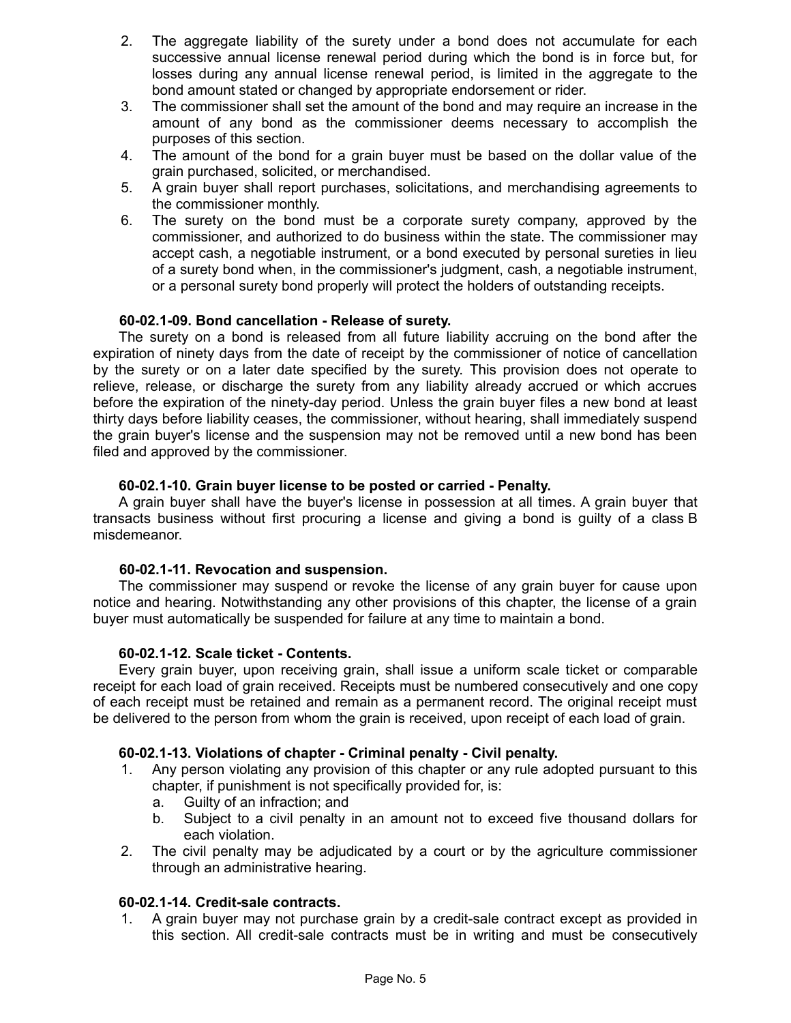- 2. The aggregate liability of the surety under a bond does not accumulate for each successive annual license renewal period during which the bond is in force but, for losses during any annual license renewal period, is limited in the aggregate to the bond amount stated or changed by appropriate endorsement or rider.
- 3. The commissioner shall set the amount of the bond and may require an increase in the amount of any bond as the commissioner deems necessary to accomplish the purposes of this section.
- 4. The amount of the bond for a grain buyer must be based on the dollar value of the grain purchased, solicited, or merchandised.
- 5. A grain buyer shall report purchases, solicitations, and merchandising agreements to the commissioner monthly.
- 6. The surety on the bond must be a corporate surety company, approved by the commissioner, and authorized to do business within the state. The commissioner may accept cash, a negotiable instrument, or a bond executed by personal sureties in lieu of a surety bond when, in the commissioner's judgment, cash, a negotiable instrument, or a personal surety bond properly will protect the holders of outstanding receipts.

# **60-02.1-09. Bond cancellation - Release of surety.**

The surety on a bond is released from all future liability accruing on the bond after the expiration of ninety days from the date of receipt by the commissioner of notice of cancellation by the surety or on a later date specified by the surety. This provision does not operate to relieve, release, or discharge the surety from any liability already accrued or which accrues before the expiration of the ninety-day period. Unless the grain buyer files a new bond at least thirty days before liability ceases, the commissioner, without hearing, shall immediately suspend the grain buyer's license and the suspension may not be removed until a new bond has been filed and approved by the commissioner.

## **60-02.1-10. Grain buyer license to be posted or carried - Penalty.**

A grain buyer shall have the buyer's license in possession at all times. A grain buyer that transacts business without first procuring a license and giving a bond is guilty of a class B misdemeanor.

# **60-02.1-11. Revocation and suspension.**

The commissioner may suspend or revoke the license of any grain buyer for cause upon notice and hearing. Notwithstanding any other provisions of this chapter, the license of a grain buyer must automatically be suspended for failure at any time to maintain a bond.

### **60-02.1-12. Scale ticket - Contents.**

Every grain buyer, upon receiving grain, shall issue a uniform scale ticket or comparable receipt for each load of grain received. Receipts must be numbered consecutively and one copy of each receipt must be retained and remain as a permanent record. The original receipt must be delivered to the person from whom the grain is received, upon receipt of each load of grain.

### **60-02.1-13. Violations of chapter - Criminal penalty - Civil penalty.**

- 1. Any person violating any provision of this chapter or any rule adopted pursuant to this chapter, if punishment is not specifically provided for, is:
	- a. Guilty of an infraction; and
	- b. Subject to a civil penalty in an amount not to exceed five thousand dollars for each violation.
- 2. The civil penalty may be adjudicated by a court or by the agriculture commissioner through an administrative hearing.

### **60-02.1-14. Credit-sale contracts.**

1. A grain buyer may not purchase grain by a credit-sale contract except as provided in this section. All credit-sale contracts must be in writing and must be consecutively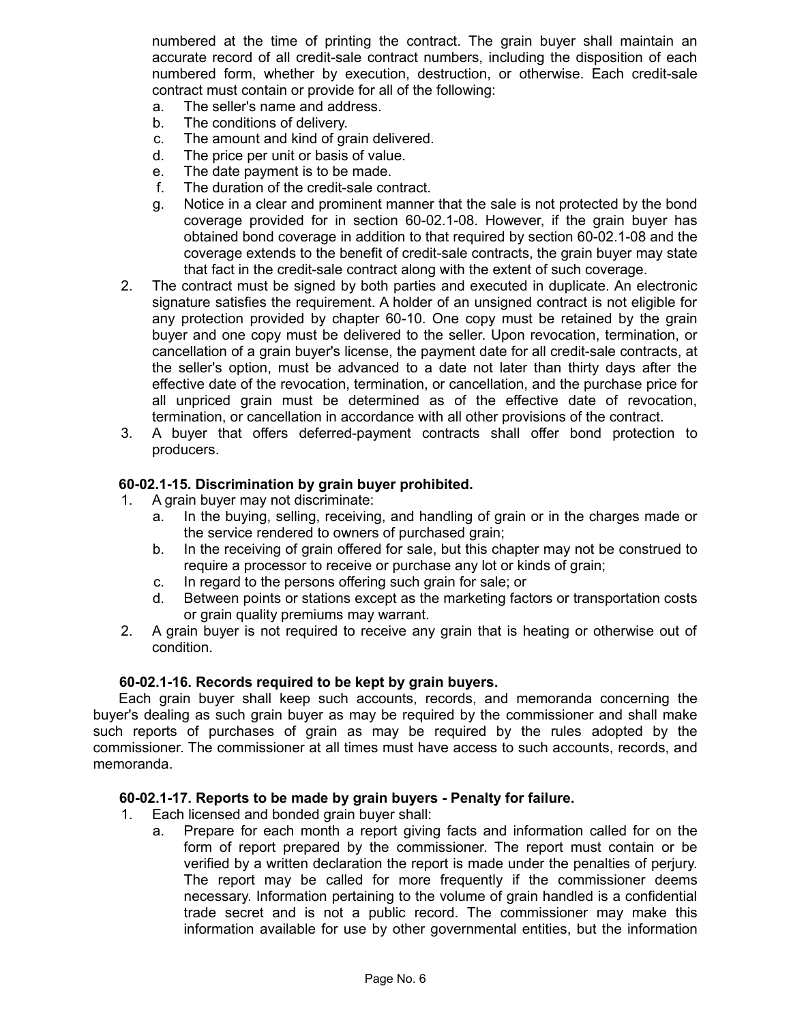numbered at the time of printing the contract. The grain buyer shall maintain an accurate record of all credit-sale contract numbers, including the disposition of each numbered form, whether by execution, destruction, or otherwise. Each credit-sale contract must contain or provide for all of the following:

- a. The seller's name and address.
- b. The conditions of delivery.
- c. The amount and kind of grain delivered.
- d. The price per unit or basis of value.
- e. The date payment is to be made.
- f. The duration of the credit-sale contract.
- g. Notice in a clear and prominent manner that the sale is not protected by the bond coverage provided for in section 60-02.1-08. However, if the grain buyer has obtained bond coverage in addition to that required by section 60-02.1-08 and the coverage extends to the benefit of credit-sale contracts, the grain buyer may state that fact in the credit-sale contract along with the extent of such coverage.
- 2. The contract must be signed by both parties and executed in duplicate. An electronic signature satisfies the requirement. A holder of an unsigned contract is not eligible for any protection provided by chapter 60-10. One copy must be retained by the grain buyer and one copy must be delivered to the seller. Upon revocation, termination, or cancellation of a grain buyer's license, the payment date for all credit-sale contracts, at the seller's option, must be advanced to a date not later than thirty days after the effective date of the revocation, termination, or cancellation, and the purchase price for all unpriced grain must be determined as of the effective date of revocation, termination, or cancellation in accordance with all other provisions of the contract.
- 3. A buyer that offers deferred-payment contracts shall offer bond protection to producers.

### **60-02.1-15. Discrimination by grain buyer prohibited.**

- 1. A grain buyer may not discriminate:
	- a. In the buying, selling, receiving, and handling of grain or in the charges made or the service rendered to owners of purchased grain;
	- b. In the receiving of grain offered for sale, but this chapter may not be construed to require a processor to receive or purchase any lot or kinds of grain;
	- c. In regard to the persons offering such grain for sale; or
	- d. Between points or stations except as the marketing factors or transportation costs or grain quality premiums may warrant.
- 2. A grain buyer is not required to receive any grain that is heating or otherwise out of condition.

### **60-02.1-16. Records required to be kept by grain buyers.**

Each grain buyer shall keep such accounts, records, and memoranda concerning the buyer's dealing as such grain buyer as may be required by the commissioner and shall make such reports of purchases of grain as may be required by the rules adopted by the commissioner. The commissioner at all times must have access to such accounts, records, and memoranda.

### **60-02.1-17. Reports to be made by grain buyers - Penalty for failure.**

- 1. Each licensed and bonded grain buyer shall:
	- a. Prepare for each month a report giving facts and information called for on the form of report prepared by the commissioner. The report must contain or be verified by a written declaration the report is made under the penalties of perjury. The report may be called for more frequently if the commissioner deems necessary. Information pertaining to the volume of grain handled is a confidential trade secret and is not a public record. The commissioner may make this information available for use by other governmental entities, but the information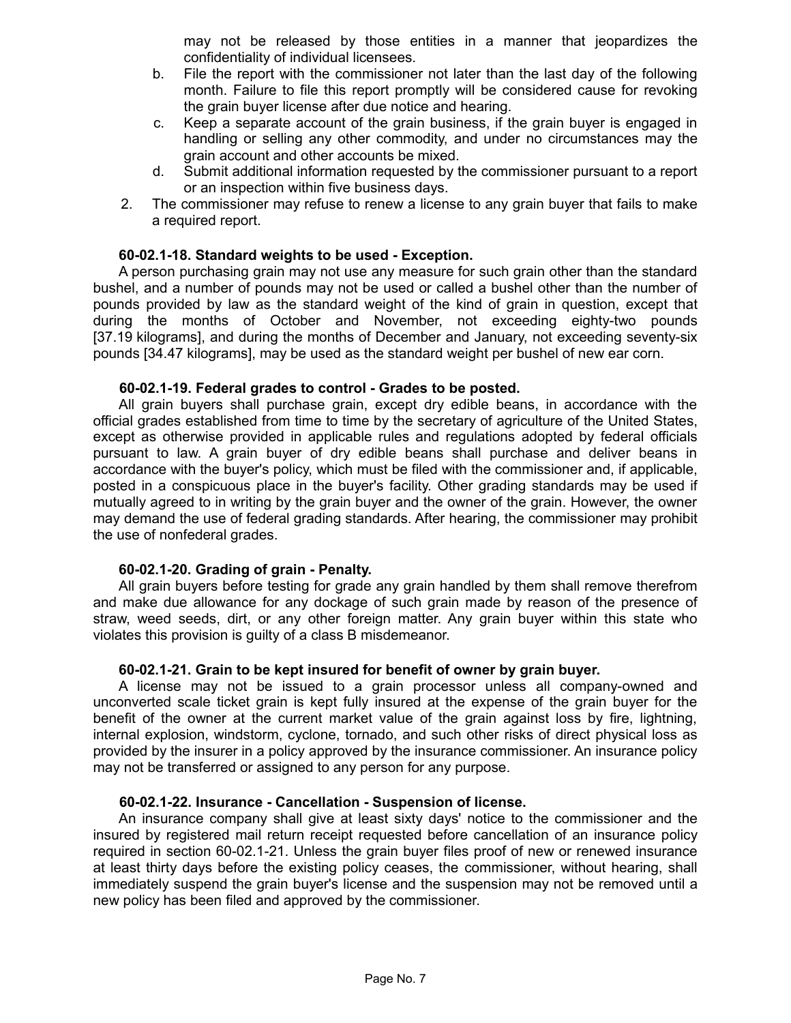may not be released by those entities in a manner that jeopardizes the confidentiality of individual licensees.

- b. File the report with the commissioner not later than the last day of the following month. Failure to file this report promptly will be considered cause for revoking the grain buyer license after due notice and hearing.
- c. Keep a separate account of the grain business, if the grain buyer is engaged in handling or selling any other commodity, and under no circumstances may the grain account and other accounts be mixed.
- d. Submit additional information requested by the commissioner pursuant to a report or an inspection within five business days.
- 2. The commissioner may refuse to renew a license to any grain buyer that fails to make a required report.

### **60-02.1-18. Standard weights to be used - Exception.**

A person purchasing grain may not use any measure for such grain other than the standard bushel, and a number of pounds may not be used or called a bushel other than the number of pounds provided by law as the standard weight of the kind of grain in question, except that during the months of October and November, not exceeding eighty-two pounds [37.19 kilograms], and during the months of December and January, not exceeding seventy-six pounds [34.47 kilograms], may be used as the standard weight per bushel of new ear corn.

### **60-02.1-19. Federal grades to control - Grades to be posted.**

All grain buyers shall purchase grain, except dry edible beans, in accordance with the official grades established from time to time by the secretary of agriculture of the United States, except as otherwise provided in applicable rules and regulations adopted by federal officials pursuant to law. A grain buyer of dry edible beans shall purchase and deliver beans in accordance with the buyer's policy, which must be filed with the commissioner and, if applicable, posted in a conspicuous place in the buyer's facility. Other grading standards may be used if mutually agreed to in writing by the grain buyer and the owner of the grain. However, the owner may demand the use of federal grading standards. After hearing, the commissioner may prohibit the use of nonfederal grades.

### **60-02.1-20. Grading of grain - Penalty.**

All grain buyers before testing for grade any grain handled by them shall remove therefrom and make due allowance for any dockage of such grain made by reason of the presence of straw, weed seeds, dirt, or any other foreign matter. Any grain buyer within this state who violates this provision is guilty of a class B misdemeanor.

### **60-02.1-21. Grain to be kept insured for benefit of owner by grain buyer.**

A license may not be issued to a grain processor unless all company-owned and unconverted scale ticket grain is kept fully insured at the expense of the grain buyer for the benefit of the owner at the current market value of the grain against loss by fire, lightning, internal explosion, windstorm, cyclone, tornado, and such other risks of direct physical loss as provided by the insurer in a policy approved by the insurance commissioner. An insurance policy may not be transferred or assigned to any person for any purpose.

### **60-02.1-22. Insurance - Cancellation - Suspension of license.**

An insurance company shall give at least sixty days' notice to the commissioner and the insured by registered mail return receipt requested before cancellation of an insurance policy required in section 60-02.1-21. Unless the grain buyer files proof of new or renewed insurance at least thirty days before the existing policy ceases, the commissioner, without hearing, shall immediately suspend the grain buyer's license and the suspension may not be removed until a new policy has been filed and approved by the commissioner.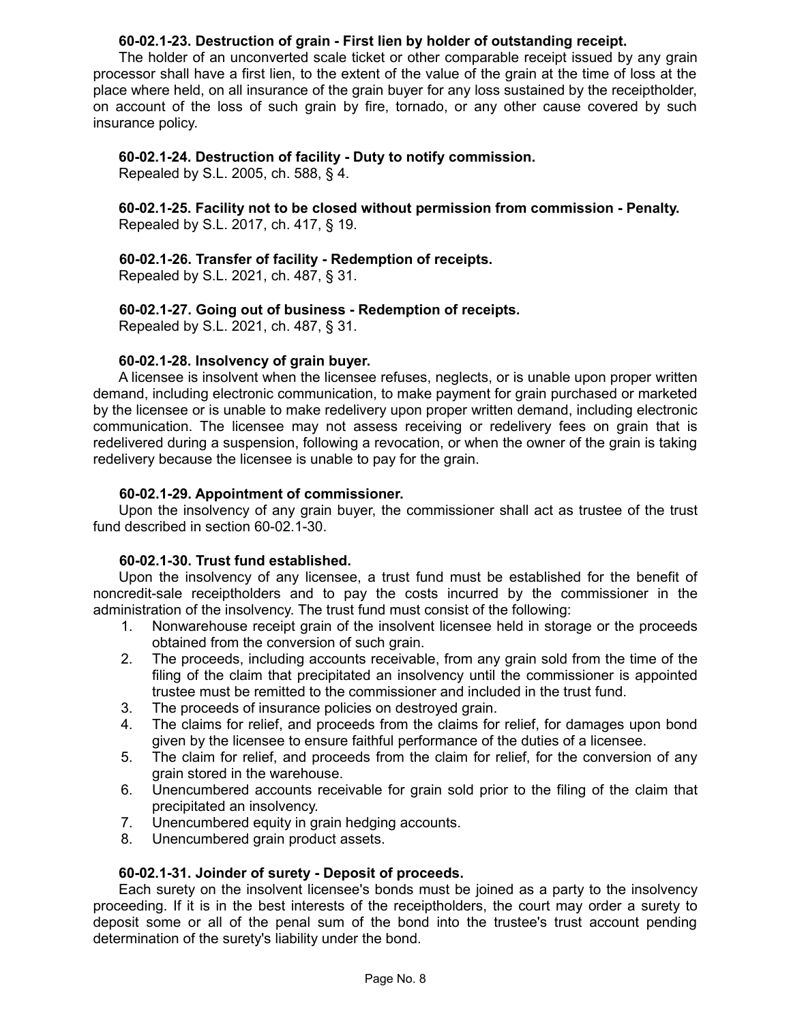# **60-02.1-23. Destruction of grain - First lien by holder of outstanding receipt.**

The holder of an unconverted scale ticket or other comparable receipt issued by any grain processor shall have a first lien, to the extent of the value of the grain at the time of loss at the place where held, on all insurance of the grain buyer for any loss sustained by the receiptholder, on account of the loss of such grain by fire, tornado, or any other cause covered by such insurance policy.

# **60-02.1-24. Destruction of facility - Duty to notify commission.**

Repealed by S.L. 2005, ch. 588, § 4.

**60-02.1-25. Facility not to be closed without permission from commission - Penalty.** Repealed by S.L. 2017, ch. 417, § 19.

# **60-02.1-26. Transfer of facility - Redemption of receipts.**

Repealed by S.L. 2021, ch. 487, § 31.

# **60-02.1-27. Going out of business - Redemption of receipts.**

Repealed by S.L. 2021, ch. 487, § 31.

# **60-02.1-28. Insolvency of grain buyer.**

A licensee is insolvent when the licensee refuses, neglects, or is unable upon proper written demand, including electronic communication, to make payment for grain purchased or marketed by the licensee or is unable to make redelivery upon proper written demand, including electronic communication. The licensee may not assess receiving or redelivery fees on grain that is redelivered during a suspension, following a revocation, or when the owner of the grain is taking redelivery because the licensee is unable to pay for the grain.

# **60-02.1-29. Appointment of commissioner.**

Upon the insolvency of any grain buyer, the commissioner shall act as trustee of the trust fund described in section 60-02.1-30.

# **60-02.1-30. Trust fund established.**

Upon the insolvency of any licensee, a trust fund must be established for the benefit of noncredit-sale receiptholders and to pay the costs incurred by the commissioner in the administration of the insolvency. The trust fund must consist of the following:

- 1. Nonwarehouse receipt grain of the insolvent licensee held in storage or the proceeds obtained from the conversion of such grain.
- 2. The proceeds, including accounts receivable, from any grain sold from the time of the filing of the claim that precipitated an insolvency until the commissioner is appointed trustee must be remitted to the commissioner and included in the trust fund.
- 3. The proceeds of insurance policies on destroyed grain.
- 4. The claims for relief, and proceeds from the claims for relief, for damages upon bond given by the licensee to ensure faithful performance of the duties of a licensee.
- 5. The claim for relief, and proceeds from the claim for relief, for the conversion of any grain stored in the warehouse.
- 6. Unencumbered accounts receivable for grain sold prior to the filing of the claim that precipitated an insolvency.
- 7. Unencumbered equity in grain hedging accounts.
- 8. Unencumbered grain product assets.

# **60-02.1-31. Joinder of surety - Deposit of proceeds.**

Each surety on the insolvent licensee's bonds must be joined as a party to the insolvency proceeding. If it is in the best interests of the receiptholders, the court may order a surety to deposit some or all of the penal sum of the bond into the trustee's trust account pending determination of the surety's liability under the bond.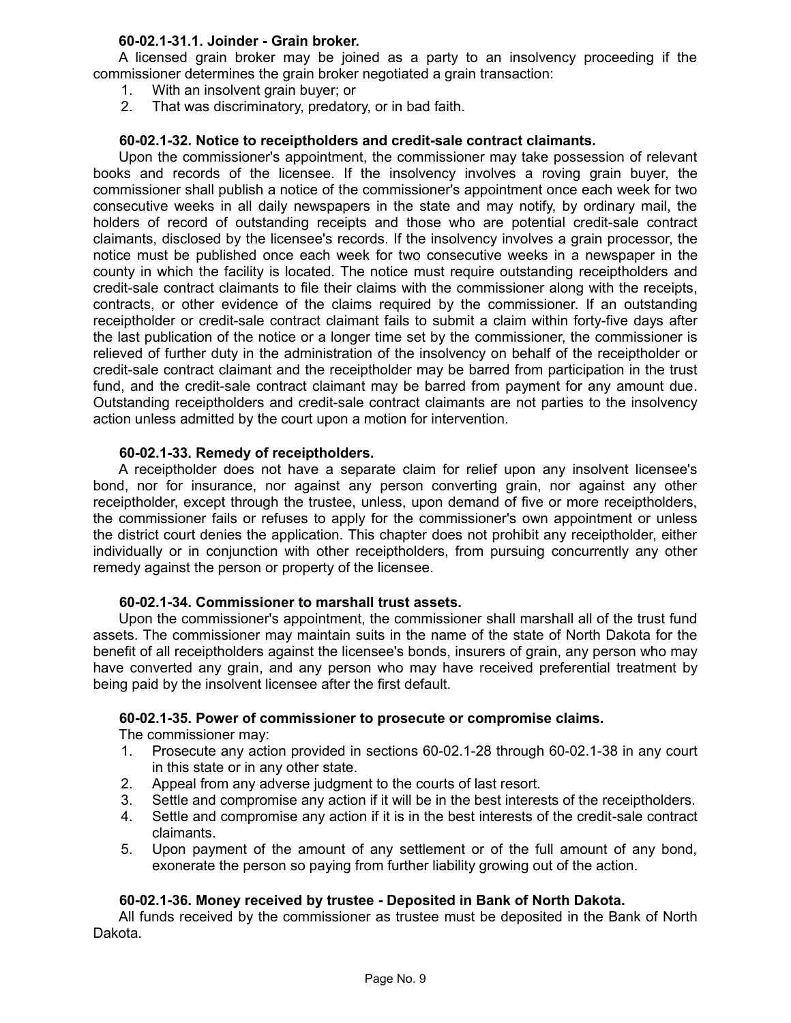## **60-02.1-31.1. Joinder - Grain broker.**

A licensed grain broker may be joined as a party to an insolvency proceeding if the commissioner determines the grain broker negotiated a grain transaction:

- 1. With an insolvent grain buyer; or
- 2. That was discriminatory, predatory, or in bad faith.

## **60-02.1-32. Notice to receiptholders and credit-sale contract claimants.**

Upon the commissioner's appointment, the commissioner may take possession of relevant books and records of the licensee. If the insolvency involves a roving grain buyer, the commissioner shall publish a notice of the commissioner's appointment once each week for two consecutive weeks in all daily newspapers in the state and may notify, by ordinary mail, the holders of record of outstanding receipts and those who are potential credit-sale contract claimants, disclosed by the licensee's records. If the insolvency involves a grain processor, the notice must be published once each week for two consecutive weeks in a newspaper in the county in which the facility is located. The notice must require outstanding receiptholders and credit-sale contract claimants to file their claims with the commissioner along with the receipts, contracts, or other evidence of the claims required by the commissioner. If an outstanding receiptholder or credit-sale contract claimant fails to submit a claim within forty-five days after the last publication of the notice or a longer time set by the commissioner, the commissioner is relieved of further duty in the administration of the insolvency on behalf of the receiptholder or credit-sale contract claimant and the receiptholder may be barred from participation in the trust fund, and the credit-sale contract claimant may be barred from payment for any amount due. Outstanding receiptholders and credit-sale contract claimants are not parties to the insolvency action unless admitted by the court upon a motion for intervention.

### **60-02.1-33. Remedy of receiptholders.**

A receiptholder does not have a separate claim for relief upon any insolvent licensee's bond, nor for insurance, nor against any person converting grain, nor against any other receiptholder, except through the trustee, unless, upon demand of five or more receiptholders, the commissioner fails or refuses to apply for the commissioner's own appointment or unless the district court denies the application. This chapter does not prohibit any receiptholder, either individually or in conjunction with other receiptholders, from pursuing concurrently any other remedy against the person or property of the licensee.

### **60-02.1-34. Commissioner to marshall trust assets.**

Upon the commissioner's appointment, the commissioner shall marshall all of the trust fund assets. The commissioner may maintain suits in the name of the state of North Dakota for the benefit of all receiptholders against the licensee's bonds, insurers of grain, any person who may have converted any grain, and any person who may have received preferential treatment by being paid by the insolvent licensee after the first default.

### **60-02.1-35. Power of commissioner to prosecute or compromise claims.**

The commissioner may:

- 1. Prosecute any action provided in sections 60-02.1-28 through 60-02.1-38 in any court in this state or in any other state.
- 2. Appeal from any adverse judgment to the courts of last resort.
- 3. Settle and compromise any action if it will be in the best interests of the receiptholders.
- 4. Settle and compromise any action if it is in the best interests of the credit-sale contract claimants.
- 5. Upon payment of the amount of any settlement or of the full amount of any bond, exonerate the person so paying from further liability growing out of the action.

### **60-02.1-36. Money received by trustee - Deposited in Bank of North Dakota.**

All funds received by the commissioner as trustee must be deposited in the Bank of North Dakota.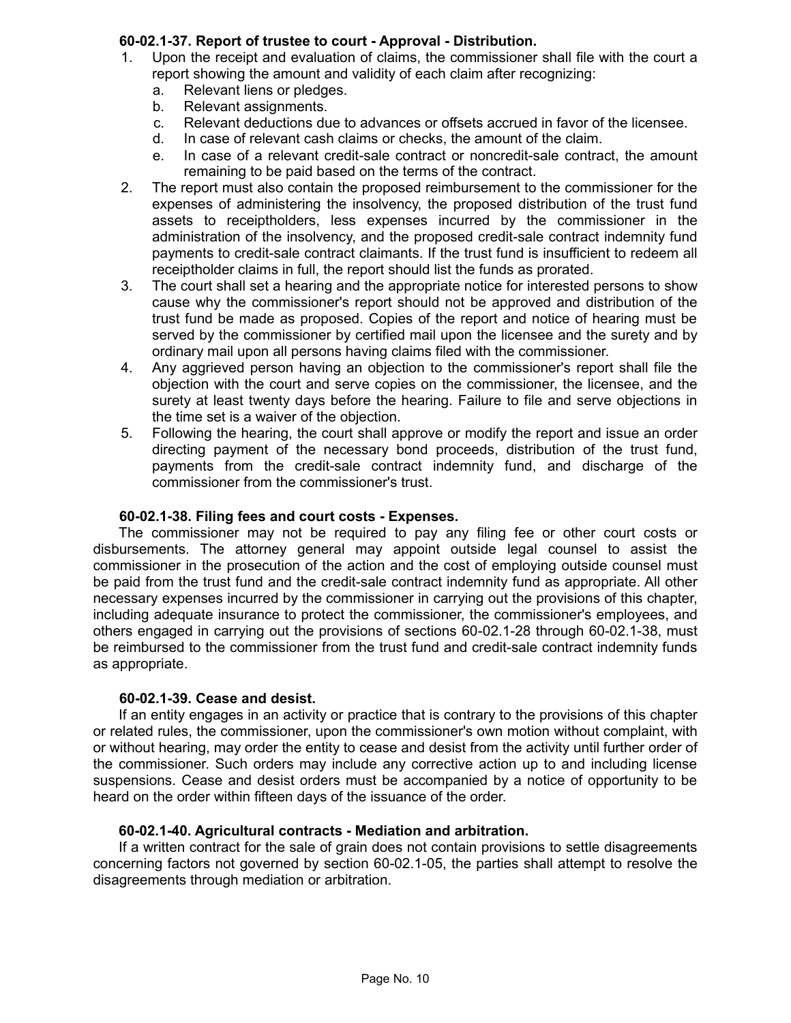# **60-02.1-37. Report of trustee to court - Approval - Distribution.**

- 1. Upon the receipt and evaluation of claims, the commissioner shall file with the court a report showing the amount and validity of each claim after recognizing:
	- a. Relevant liens or pledges.
	- b. Relevant assignments.
	- c. Relevant deductions due to advances or offsets accrued in favor of the licensee.
	- d. In case of relevant cash claims or checks, the amount of the claim.
	- e. In case of a relevant credit-sale contract or noncredit-sale contract, the amount remaining to be paid based on the terms of the contract.
- 2. The report must also contain the proposed reimbursement to the commissioner for the expenses of administering the insolvency, the proposed distribution of the trust fund assets to receiptholders, less expenses incurred by the commissioner in the administration of the insolvency, and the proposed credit-sale contract indemnity fund payments to credit-sale contract claimants. If the trust fund is insufficient to redeem all receiptholder claims in full, the report should list the funds as prorated.
- 3. The court shall set a hearing and the appropriate notice for interested persons to show cause why the commissioner's report should not be approved and distribution of the trust fund be made as proposed. Copies of the report and notice of hearing must be served by the commissioner by certified mail upon the licensee and the surety and by ordinary mail upon all persons having claims filed with the commissioner.
- 4. Any aggrieved person having an objection to the commissioner's report shall file the objection with the court and serve copies on the commissioner, the licensee, and the surety at least twenty days before the hearing. Failure to file and serve objections in the time set is a waiver of the objection.
- 5. Following the hearing, the court shall approve or modify the report and issue an order directing payment of the necessary bond proceeds, distribution of the trust fund, payments from the credit-sale contract indemnity fund, and discharge of the commissioner from the commissioner's trust.

### **60-02.1-38. Filing fees and court costs - Expenses.**

The commissioner may not be required to pay any filing fee or other court costs or disbursements. The attorney general may appoint outside legal counsel to assist the commissioner in the prosecution of the action and the cost of employing outside counsel must be paid from the trust fund and the credit-sale contract indemnity fund as appropriate. All other necessary expenses incurred by the commissioner in carrying out the provisions of this chapter, including adequate insurance to protect the commissioner, the commissioner's employees, and others engaged in carrying out the provisions of sections 60-02.1-28 through 60-02.1-38, must be reimbursed to the commissioner from the trust fund and credit-sale contract indemnity funds as appropriate.

### **60-02.1-39. Cease and desist.**

If an entity engages in an activity or practice that is contrary to the provisions of this chapter or related rules, the commissioner, upon the commissioner's own motion without complaint, with or without hearing, may order the entity to cease and desist from the activity until further order of the commissioner. Such orders may include any corrective action up to and including license suspensions. Cease and desist orders must be accompanied by a notice of opportunity to be heard on the order within fifteen days of the issuance of the order.

### **60-02.1-40. Agricultural contracts - Mediation and arbitration.**

If a written contract for the sale of grain does not contain provisions to settle disagreements concerning factors not governed by section 60-02.1-05, the parties shall attempt to resolve the disagreements through mediation or arbitration.